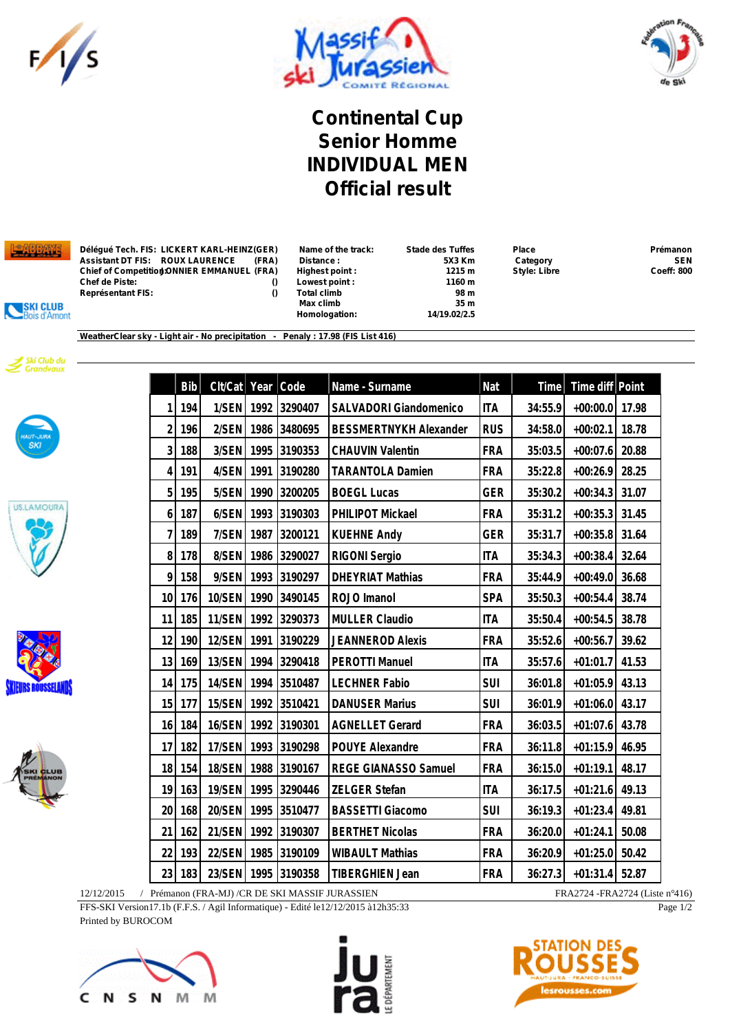





**Continental Cup Senior Homme INDIVIDUAL MEN Official result**



**Délégué Tech. FIS: LICKERT KARL-HEINZ(GER) Name of the track: Stade des Tuffes Place Prémanon Assistant DT FIS: ROUX LAURENCE (FRA) Distance : 5X3 Km Category SEN Chief of Competition:JONNIER EMMANUEL (FRA) Highest point : 1215 m Style: Libre Coeff: 800 Représentant FIS: () Total climb 98 m**

**Chef de Piste: () Lowest point : 1160 m Max climb** 35 m<br> **14/19.02/2.5**<br> **14/19.02/2.5**  $Homologation:$ 





SKI CLUB<br>Bois d'Amont









|                | <b>Bib</b> | Clt/Cat       | Year | Code    | Name - Surname                | Nat        | Time    | Time diff Point |       |
|----------------|------------|---------------|------|---------|-------------------------------|------------|---------|-----------------|-------|
| 1              | 194        | 1/SEN         | 1992 | 3290407 | SALVADORI Giandomenico        | <b>ITA</b> | 34:55.9 | $+00:00.0$      | 17.98 |
| $\overline{2}$ | 196        | 2/SEN         | 1986 | 3480695 | <b>BESSMERTNYKH Alexander</b> | <b>RUS</b> | 34:58.0 | $+00:02.1$      | 18.78 |
| $\overline{3}$ | 188        | 3/SEN         | 1995 | 3190353 | <b>CHAUVIN Valentin</b>       | <b>FRA</b> | 35:03.5 | $+00:07.6$      | 20.88 |
| 4              | 191        | 4/SEN         | 1991 | 3190280 | <b>TARANTOLA Damien</b>       | <b>FRA</b> | 35:22.8 | $+00:26.9$      | 28.25 |
| 5              | 195        | 5/SEN         | 1990 | 3200205 | <b>BOEGL Lucas</b>            | <b>GER</b> | 35:30.2 | $+00:34.3$      | 31.07 |
| 6              | 187        | 6/SEN         | 1993 | 3190303 | PHILIPOT Mickael              | <b>FRA</b> | 35:31.2 | $+00:35.3$      | 31.45 |
| $\overline{7}$ | 189        | 7/SEN         | 1987 | 3200121 | <b>KUEHNE Andy</b>            | <b>GER</b> | 35:31.7 | $+00:35.8$      | 31.64 |
| 8              | 178        | 8/SEN         | 1986 | 3290027 | RIGONI Sergio                 | <b>ITA</b> | 35:34.3 | $+00:38.4$      | 32.64 |
| 9              | 158        | 9/SEN         | 1993 | 3190297 | <b>DHEYRIAT Mathias</b>       | <b>FRA</b> | 35:44.9 | $+00:49.0$      | 36.68 |
| 10             | 176        | 10/SEN        | 1990 | 3490145 | ROJO Imanol                   | <b>SPA</b> | 35:50.3 | $+00:54.4$      | 38.74 |
| 11             | 185        | 11/SEN        | 1992 | 3290373 | <b>MULLER Claudio</b>         | <b>ITA</b> | 35:50.4 | $+00:54.5$      | 38.78 |
| 12             | 190        | 12/SEN        | 1991 | 3190229 | <b>JEANNEROD Alexis</b>       | <b>FRA</b> | 35:52.6 | $+00:56.7$      | 39.62 |
| 13             | 169        | 13/SEN        | 1994 | 3290418 | <b>PEROTTI Manuel</b>         | <b>ITA</b> | 35:57.6 | $+01:01.7$      | 41.53 |
| 14             | 175        | 14/SEN        | 1994 | 3510487 | <b>LECHNER Fabio</b>          | <b>SUI</b> | 36:01.8 | $+01:05.9$      | 43.13 |
| 15             | 177        | 15/SEN        | 1992 | 3510421 | <b>DANUSER Marius</b>         | <b>SUI</b> | 36:01.9 | $+01:06.0$      | 43.17 |
| 16             | 184        | 16/SEN        | 1992 | 3190301 | <b>AGNELLET Gerard</b>        | <b>FRA</b> | 36:03.5 | $+01:07.6$      | 43.78 |
| 17             | 182        | 17/SEN        | 1993 | 3190298 | POUYE Alexandre               | <b>FRA</b> | 36:11.8 | $+01:15.9$      | 46.95 |
| 18             | 154        | 18/SEN        | 1988 | 3190167 | REGE GIANASSO Samuel          | <b>FRA</b> | 36:15.0 | $+01:19.1$      | 48.17 |
| 19             | 163        | 19/SEN        | 1995 | 3290446 | ZELGER Stefan                 | <b>ITA</b> | 36:17.5 | $+01:21.6$      | 49.13 |
| 20             | 168        | <b>20/SEN</b> | 1995 | 3510477 | <b>BASSETTI Giacomo</b>       | <b>SUI</b> | 36:19.3 | $+01:23.4$      | 49.81 |
| 21             | 162        | 21/SEN        | 1992 | 3190307 | <b>BERTHET Nicolas</b>        | <b>FRA</b> | 36:20.0 | $+01:24.1$      | 50.08 |
| 22             | 193        | 22/SEN        | 1985 | 3190109 | <b>WIBAULT Mathias</b>        | <b>FRA</b> | 36:20.9 | $+01:25.0$      | 50.42 |
| 23             | 183        | 23/SEN        | 1995 | 3190358 | <b>TIBERGHIEN Jean</b>        | <b>FRA</b> | 36:27.3 | $+01:31.4$      | 52.87 |

12/12/2015 / Prémanon (FRA-MJ) /CR DE SKI MASSIF JURASSIEN FRA2724 -FRA2724 (Liste n°416) FFS-SKI Version17.1b (F.F.S. / Agil Informatique) - Edité le12/12/2015 à12h35:33

Printed by BUROCOM







Page 1/2